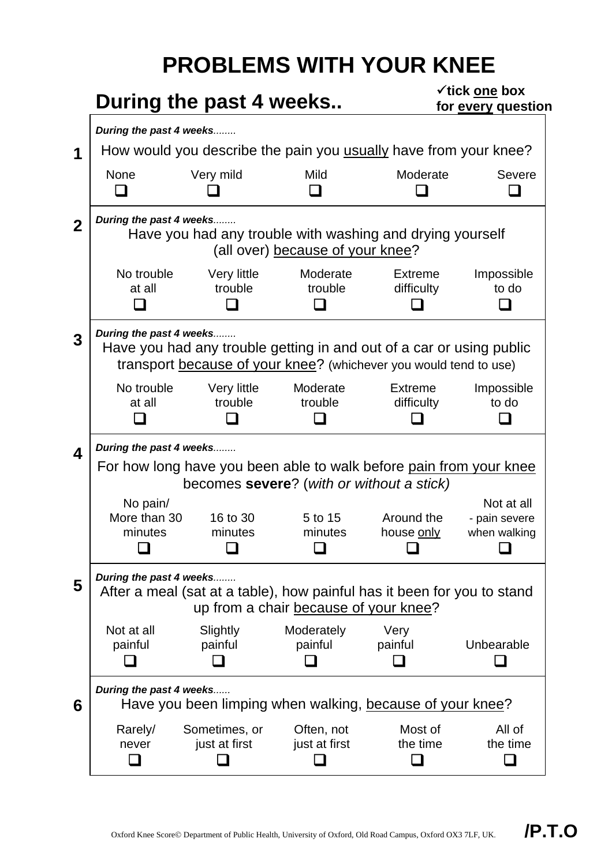## **PROBLEMS WITH YOUR KNEE**

|                |                                                                                                                                                                      | During the past 4 weeks        |                             | <b>√tick one box</b><br>for every question |                                                       |
|----------------|----------------------------------------------------------------------------------------------------------------------------------------------------------------------|--------------------------------|-----------------------------|--------------------------------------------|-------------------------------------------------------|
|                | During the past 4 weeks                                                                                                                                              |                                |                             |                                            |                                                       |
| 1              | How would you describe the pain you usually have from your knee?                                                                                                     |                                |                             |                                            |                                                       |
|                | <b>None</b>                                                                                                                                                          | Very mild                      | Mild                        | Moderate                                   | Severe                                                |
| $\overline{2}$ | During the past 4 weeks<br>Have you had any trouble with washing and drying yourself<br>(all over) because of your knee?                                             |                                |                             |                                            |                                                       |
|                | No trouble<br>at all                                                                                                                                                 | Very little<br>trouble         | Moderate<br>trouble         | Extreme<br>difficulty                      | Impossible<br>to do                                   |
| 3              | During the past 4 weeks<br>Have you had any trouble getting in and out of a car or using public<br>transport because of your knee? (whichever you would tend to use) |                                |                             |                                            |                                                       |
|                | No trouble<br>at all                                                                                                                                                 | Very little<br>trouble         | Moderate<br>trouble         | <b>Extreme</b><br>difficulty               | Impossible<br>to do                                   |
| 4              | During the past 4 weeks<br>For how long have you been able to walk before pain from your knee<br>becomes severe? (with or without a stick)                           |                                |                             |                                            |                                                       |
|                | No pain/<br>More than 30<br>minutes<br>n                                                                                                                             | 16 to 30<br>minutes<br>n       | 5 to 15<br>minutes<br>n     | Around the<br>house only<br>$\Box$         | Not at all<br>- pain severe<br>when walking<br>$\Box$ |
| 5              | During the past 4 weeks<br>After a meal (sat at a table), how painful has it been for you to stand<br>up from a chair because of your knee?                          |                                |                             |                                            |                                                       |
|                | Not at all<br>painful                                                                                                                                                | Slightly<br>painful            | Moderately<br>painful       | Very<br>painful                            | Unbearable                                            |
| 6              | During the past 4 weeks<br>Have you been limping when walking, because of your knee?                                                                                 |                                |                             |                                            |                                                       |
|                | Rarely/<br>never                                                                                                                                                     | Sometimes, or<br>just at first | Often, not<br>just at first | Most of<br>the time                        | All of<br>the time                                    |